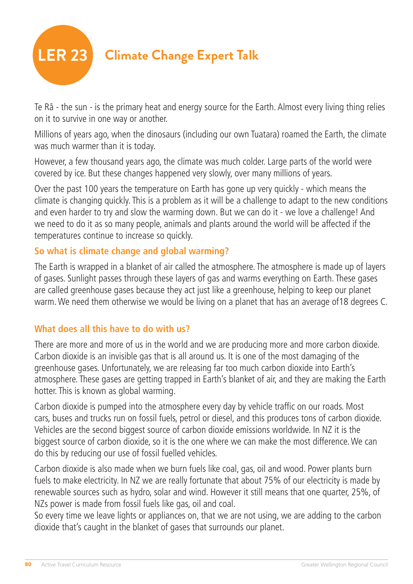

Te Rä - the sun - is the primary heat and energy source for the Earth. Almost every living thing relies on it to survive in one way or another.

Millions of years ago, when the dinosaurs (including our own Tuatara) roamed the Earth, the climate was much warmer than it is today.

However, a few thousand years ago, the climate was much colder. Large parts of the world were covered by ice. But these changes happened very slowly, over many millions of years.

Over the past 100 years the temperature on Earth has gone up very quickly - which means the climate is changing quickly. This is a problem as it will be a challenge to adapt to the new conditions and even harder to try and slow the warming down. But we can do it - we love a challenge! And we need to do it as so many people, animals and plants around the world will be affected if the temperatures continue to increase so quickly.

#### **So what is climate change and global warming?**

The Earth is wrapped in a blanket of air called the atmosphere. The atmosphere is made up of layers of gases. Sunlight passes through these layers of gas and warms everything on Earth. These gases are called greenhouse gases because they act just like a greenhouse, helping to keep our planet warm. We need them otherwise we would be living on a planet that has an average of18 degrees C.

#### **What does all this have to do with us?**

There are more and more of us in the world and we are producing more and more carbon dioxide. Carbon dioxide is an invisible gas that is all around us. It is one of the most damaging of the greenhouse gases. Unfortunately, we are releasing far too much carbon dioxide into Earth's atmosphere. These gases are getting trapped in Earth's blanket of air, and they are making the Earth hotter. This is known as global warming.

Carbon dioxide is pumped into the atmosphere every day by vehicle traffic on our roads. Most cars, buses and trucks run on fossil fuels, petrol or diesel, and this produces tons of carbon dioxide. Vehicles are the second biggest source of carbon dioxide emissions worldwide. In NZ it is the biggest source of carbon dioxide, so it is the one where we can make the most difference. We can do this by reducing our use of fossil fuelled vehicles.

Carbon dioxide is also made when we burn fuels like coal, gas, oil and wood. Power plants burn fuels to make electricity. In NZ we are really fortunate that about 75% of our electricity is made by renewable sources such as hydro, solar and wind. However it still means that one quarter, 25%, of NZs power is made from fossil fuels like gas, oil and coal.

So every time we leave lights or appliances on, that we are not using, we are adding to the carbon dioxide that's caught in the blanket of gases that surrounds our planet.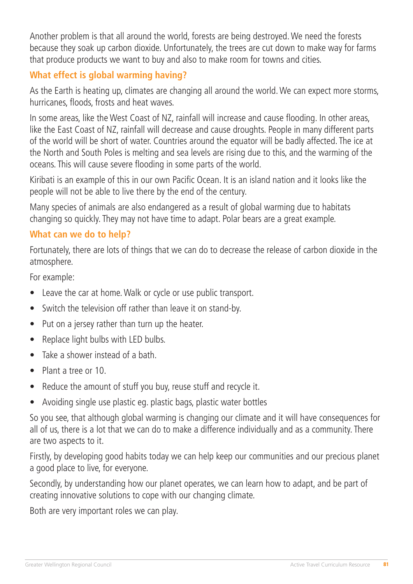Another problem is that all around the world, forests are being destroyed. We need the forests because they soak up carbon dioxide. Unfortunately, the trees are cut down to make way for farms that produce products we want to buy and also to make room for towns and cities.

#### **What effect is global warming having?**

As the Earth is heating up, climates are changing all around the world. We can expect more storms, hurricanes, floods, frosts and heat waves.

In some areas, like the West Coast of NZ, rainfall will increase and cause flooding. In other areas, like the East Coast of NZ, rainfall will decrease and cause droughts. People in many different parts of the world will be short of water. Countries around the equator will be badly affected. The ice at the North and South Poles is melting and sea levels are rising due to this, and the warming of the oceans. This will cause severe flooding in some parts of the world.

Kiribati is an example of this in our own Pacific Ocean. It is an island nation and it looks like the people will not be able to live there by the end of the century.

Many species of animals are also endangered as a result of global warming due to habitats changing so quickly. They may not have time to adapt. Polar bears are a great example.

#### **What can we do to help?**

Fortunately, there are lots of things that we can do to decrease the release of carbon dioxide in the atmosphere.

For example:

- Leave the car at home. Walk or cycle or use public transport.
- Switch the television off rather than leave it on stand-by.
- Put on a jersey rather than turn up the heater.
- Replace light bulbs with LED bulbs.
- Take a shower instead of a bath.
- Plant a tree or 10.
- Reduce the amount of stuff you buy, reuse stuff and recycle it.
- Avoiding single use plastic eg. plastic bags, plastic water bottles

So you see, that although global warming is changing our climate and it will have consequences for all of us, there is a lot that we can do to make a difference individually and as a community. There are two aspects to it.

Firstly, by developing good habits today we can help keep our communities and our precious planet a good place to live, for everyone.

Secondly, by understanding how our planet operates, we can learn how to adapt, and be part of creating innovative solutions to cope with our changing climate.

Both are very important roles we can play.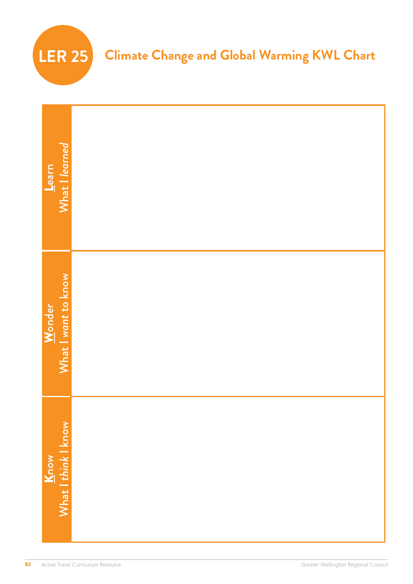

| What I learned<br>Learn       |  |
|-------------------------------|--|
| What I want to know<br>Wonder |  |
|                               |  |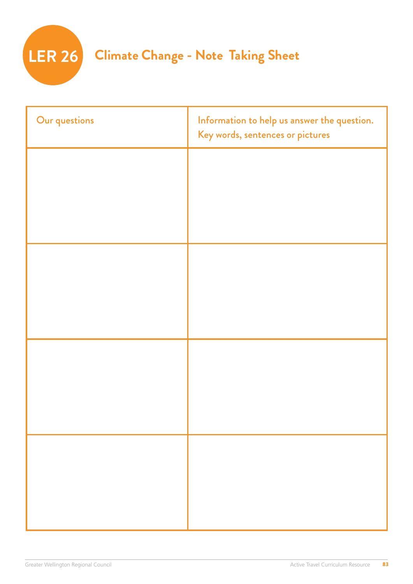

| Our questions | Information to help us answer the question.<br>Key words, sentences or pictures |
|---------------|---------------------------------------------------------------------------------|
|               |                                                                                 |
|               |                                                                                 |
|               |                                                                                 |
|               |                                                                                 |
|               |                                                                                 |
|               |                                                                                 |
|               |                                                                                 |
|               |                                                                                 |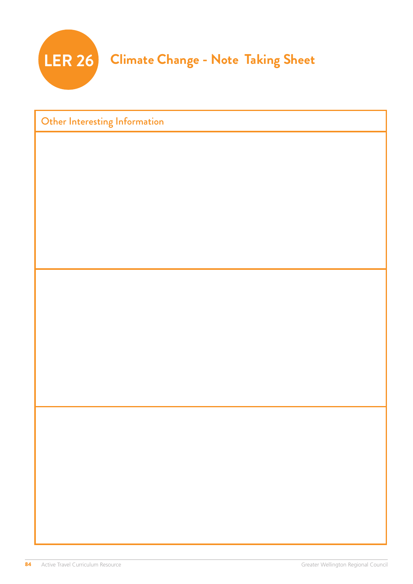

| Other Interesting Information |  |  |
|-------------------------------|--|--|
|                               |  |  |
|                               |  |  |
|                               |  |  |
|                               |  |  |
|                               |  |  |
|                               |  |  |
|                               |  |  |
|                               |  |  |
|                               |  |  |
|                               |  |  |
|                               |  |  |
|                               |  |  |
|                               |  |  |
|                               |  |  |
|                               |  |  |
|                               |  |  |
|                               |  |  |
|                               |  |  |
|                               |  |  |
|                               |  |  |
|                               |  |  |
|                               |  |  |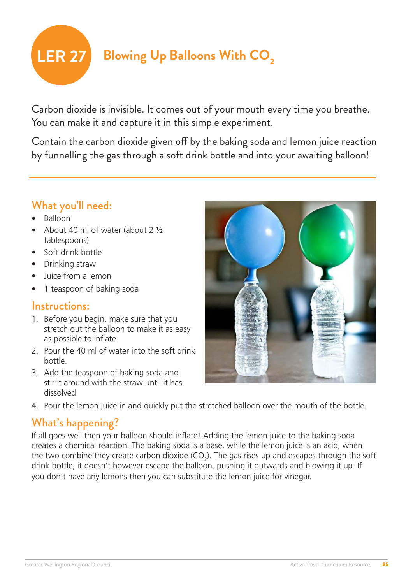

Carbon dioxide is invisible. It comes out of your mouth every time you breathe. You can make it and capture it in this simple experiment.

Contain the carbon dioxide given off by the baking soda and lemon juice reaction by funnelling the gas through a soft drink bottle and into your awaiting balloon!

### What you'll need:

- Balloon
- About 40 ml of water (about 2 ½ tablespoons)
- Soft drink bottle
- Drinking straw
- Juice from a lemon
- 1 teaspoon of baking soda

#### Instructions:

- 1. Before you begin, make sure that you stretch out the balloon to make it as easy as possible to inflate.
- 2. Pour the 40 ml of water into the soft drink bottle.
- 3. Add the teaspoon of baking soda and stir it around with the straw until it has dissolved.
- 4. Pour the lemon juice in and quickly put the stretched balloon over the mouth of the bottle.

### What's happening?

If all goes well then your balloon should inflate! Adding the lemon juice to the baking soda creates a chemical reaction. The baking soda is a base, while the lemon juice is an acid, when the two combine they create carbon dioxide (CO<sub>2</sub>). The gas rises up and escapes through the soft drink bottle, it doesn't however escape the balloon, pushing it outwards and blowing it up. If you don't have any lemons then you can substitute the lemon juice for vinegar.

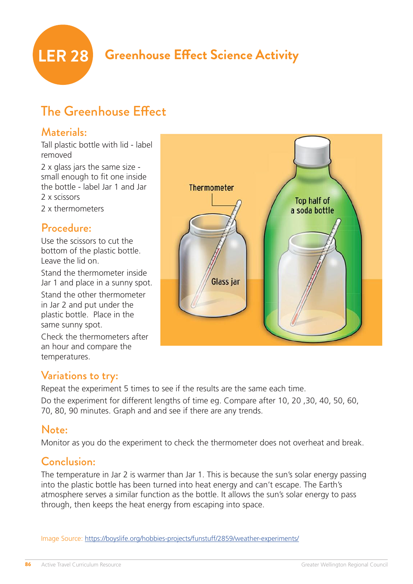

# **LER 28 Greenhouse Effect Science Activity**

# The Greenhouse Effect

### Materials:

Tall plastic bottle with lid - label removed

2 x glass jars the same size small enough to fit one inside the bottle - label Jar 1 and Jar 2 x scissors

2 x thermometers

#### Procedure:

Use the scissors to cut the bottom of the plastic bottle. Leave the lid on.

Stand the thermometer inside Jar 1 and place in a sunny spot.

Stand the other thermometer in Jar 2 and put under the plastic bottle. Place in the same sunny spot.

Check the thermometers after an hour and compare the temperatures.



### Variations to try:

Repeat the experiment 5 times to see if the results are the same each time. Do the experiment for different lengths of time eg. Compare after 10, 20 ,30, 40, 50, 60, 70, 80, 90 minutes. Graph and and see if there are any trends.

#### Note:

Monitor as you do the experiment to check the thermometer does not overheat and break.

### Conclusion:

The temperature in Jar 2 is warmer than Jar 1. This is because the sun's solar energy passing into the plastic bottle has been turned into heat energy and can't escape. The Earth's atmosphere serves a similar function as the bottle. It allows the sun's solar energy to pass through, then keeps the heat energy from escaping into space.

Image Source:<https://boyslife.org/hobbies-projects/funstuff/2859/weather-experiments/>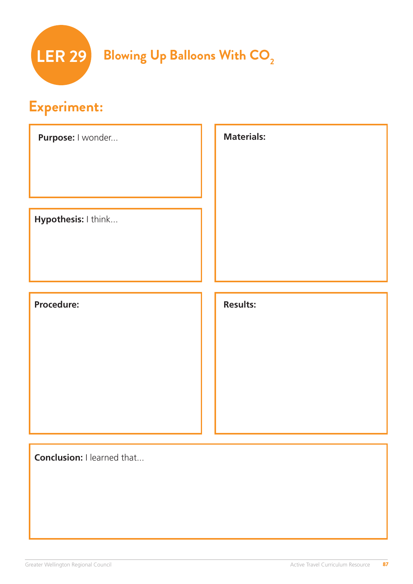

# **Experiment:**

| Purpose: I wonder   | <b>Materials:</b> |
|---------------------|-------------------|
| Hypothesis: I think |                   |
| Procedure:          | <b>Results:</b>   |
|                     |                   |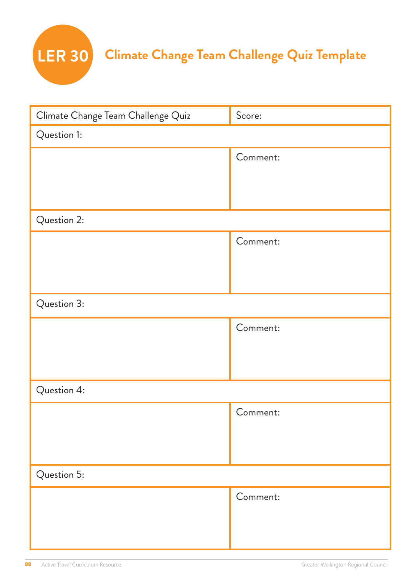

| Climate Change Team Challenge Quiz | Score:   |  |
|------------------------------------|----------|--|
| Question 1:                        |          |  |
|                                    | Comment: |  |
|                                    |          |  |
|                                    |          |  |
| Question 2:                        |          |  |
|                                    | Comment: |  |
|                                    |          |  |
|                                    |          |  |
| Question 3:                        |          |  |
|                                    | Comment: |  |
|                                    |          |  |
|                                    |          |  |
| Question 4:                        |          |  |
|                                    | Comment: |  |
|                                    |          |  |
|                                    |          |  |
| Question 5:                        |          |  |
|                                    | Comment: |  |
|                                    |          |  |
|                                    |          |  |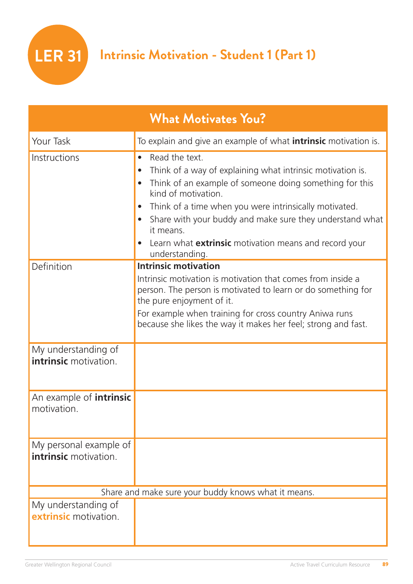| <b>What Motivates You?</b>                             |                                                                                                                                                                                                                                                                                                                                                                                                  |  |
|--------------------------------------------------------|--------------------------------------------------------------------------------------------------------------------------------------------------------------------------------------------------------------------------------------------------------------------------------------------------------------------------------------------------------------------------------------------------|--|
| Your Task                                              | To explain and give an example of what <b>intrinsic</b> motivation is.                                                                                                                                                                                                                                                                                                                           |  |
| Instructions                                           | Read the text.<br>$\bullet$<br>Think of a way of explaining what intrinsic motivation is.<br>Think of an example of someone doing something for this<br>kind of motivation.<br>Think of a time when you were intrinsically motivated.<br>Share with your buddy and make sure they understand what<br>it means.<br>Learn what <b>extrinsic</b> motivation means and record your<br>understanding. |  |
| Definition                                             | <b>Intrinsic motivation</b>                                                                                                                                                                                                                                                                                                                                                                      |  |
|                                                        | Intrinsic motivation is motivation that comes from inside a<br>person. The person is motivated to learn or do something for<br>the pure enjoyment of it.<br>For example when training for cross country Aniwa runs<br>because she likes the way it makes her feel; strong and fast.                                                                                                              |  |
| My understanding of<br><b>intrinsic</b> motivation.    |                                                                                                                                                                                                                                                                                                                                                                                                  |  |
| An example of <i>intrinsic</i><br>motivation.          |                                                                                                                                                                                                                                                                                                                                                                                                  |  |
| My personal example of<br><b>intrinsic</b> motivation. |                                                                                                                                                                                                                                                                                                                                                                                                  |  |
|                                                        | Share and make sure your buddy knows what it means.                                                                                                                                                                                                                                                                                                                                              |  |
| My understanding of<br>extrinsic motivation.           |                                                                                                                                                                                                                                                                                                                                                                                                  |  |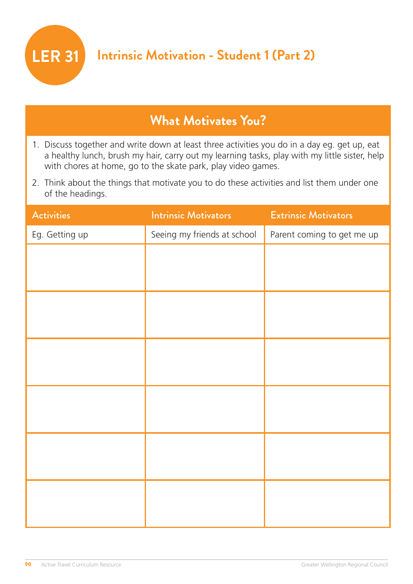

# **What Motivates You?**

- 1. Discuss together and write down at least three activities you do in a day eg. get up, eat a healthy lunch, brush my hair, carry out my learning tasks, play with my little sister, help with chores at home, go to the skate park, play video games.
- 2. Think about the things that motivate you to do these activities and list them under one of the headings.

| <b>Activities</b> | <b>Intrinsic Motivators</b> | <b>Extrinsic Motivators</b> |
|-------------------|-----------------------------|-----------------------------|
| Eg. Getting up    | Seeing my friends at school | Parent coming to get me up  |
|                   |                             |                             |
|                   |                             |                             |
|                   |                             |                             |
|                   |                             |                             |
|                   |                             |                             |
|                   |                             |                             |
|                   |                             |                             |
|                   |                             |                             |
|                   |                             |                             |
|                   |                             |                             |
|                   |                             |                             |
|                   |                             |                             |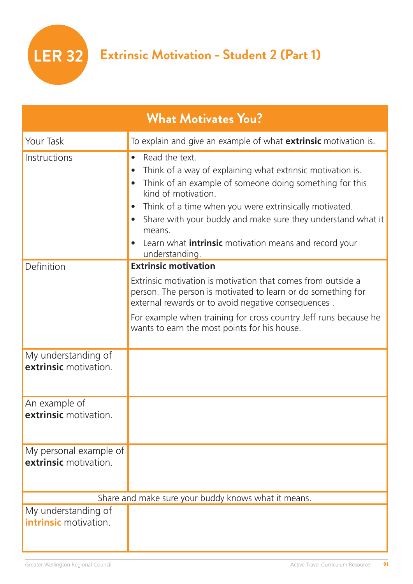**LER 32 Extrinsic Motivation - Student 2 (Part 1)**

| <b>What Motivates You?</b>                          |                                                                                                                                                                                                                                                                                                                                                                                                  |  |  |
|-----------------------------------------------------|--------------------------------------------------------------------------------------------------------------------------------------------------------------------------------------------------------------------------------------------------------------------------------------------------------------------------------------------------------------------------------------------------|--|--|
| Your Task                                           | To explain and give an example of what <b>extrinsic</b> motivation is.                                                                                                                                                                                                                                                                                                                           |  |  |
| Instructions                                        | Read the text.<br>$\bullet$<br>Think of a way of explaining what extrinsic motivation is.<br>Think of an example of someone doing something for this<br>kind of motivation.<br>Think of a time when you were extrinsically motivated.<br>Share with your buddy and make sure they understand what it<br>means.<br>Learn what <b>intrinsic</b> motivation means and record your<br>understanding. |  |  |
| Definition                                          | <b>Extrinsic motivation</b>                                                                                                                                                                                                                                                                                                                                                                      |  |  |
|                                                     | Extrinsic motivation is motivation that comes from outside a<br>person. The person is motivated to learn or do something for<br>external rewards or to avoid negative consequences.                                                                                                                                                                                                              |  |  |
|                                                     | For example when training for cross country Jeff runs because he<br>wants to earn the most points for his house.                                                                                                                                                                                                                                                                                 |  |  |
| My understanding of<br>extrinsic motivation.        |                                                                                                                                                                                                                                                                                                                                                                                                  |  |  |
| An example of<br><b>extrinsic</b> motivation.       |                                                                                                                                                                                                                                                                                                                                                                                                  |  |  |
| My personal example of<br>extrinsic motivation.     |                                                                                                                                                                                                                                                                                                                                                                                                  |  |  |
| Share and make sure your buddy knows what it means. |                                                                                                                                                                                                                                                                                                                                                                                                  |  |  |
| My understanding of<br><b>intrinsic</b> motivation. |                                                                                                                                                                                                                                                                                                                                                                                                  |  |  |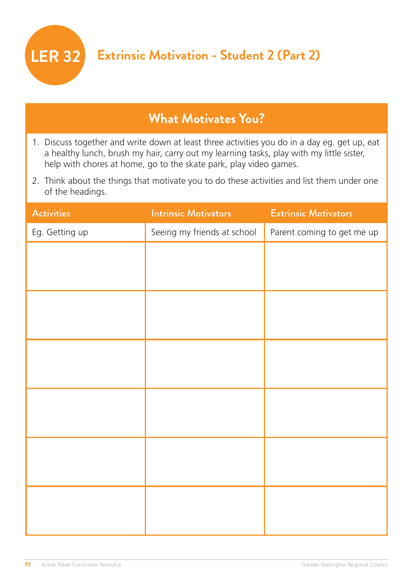

# **What Motivates You?**

- 1. Discuss together and write down at least three activities you do in a day eg. get up, eat a healthy lunch, brush my hair, carry out my learning tasks, play with my little sister, help with chores at home, go to the skate park, play video games.
- 2. Think about the things that motivate you to do these activities and list them under one of the headings.

| <b>Activities</b> | <b>Intrinsic Motivators</b> | <b>Extrinsic Motivators</b> |
|-------------------|-----------------------------|-----------------------------|
| Eg. Getting up    | Seeing my friends at school | Parent coming to get me up  |
|                   |                             |                             |
|                   |                             |                             |
|                   |                             |                             |
|                   |                             |                             |
|                   |                             |                             |
|                   |                             |                             |
|                   |                             |                             |
|                   |                             |                             |
|                   |                             |                             |
|                   |                             |                             |
|                   |                             |                             |
|                   |                             |                             |